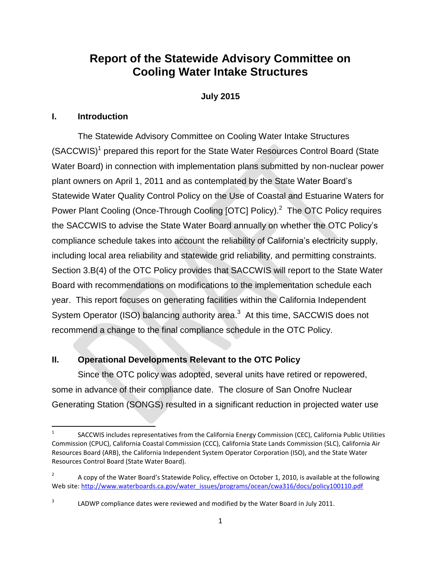# **Report of the Statewide Advisory Committee on Cooling Water Intake Structures**

# **July 2015**

## **I. Introduction**

The Statewide Advisory Committee on Cooling Water Intake Structures (SACCWIS)<sup>1</sup> prepared this report for the State Water Resources Control Board (State Water Board) in connection with implementation plans submitted by non-nuclear power plant owners on April 1, 2011 and as contemplated by the State Water Board's Statewide Water Quality Control Policy on the Use of Coastal and Estuarine Waters for Power Plant Cooling (Once-Through Cooling [OTC] Policy).<sup>2</sup> The OTC Policy requires the SACCWIS to advise the State Water Board annually on whether the OTC Policy's compliance schedule takes into account the reliability of California's electricity supply, including local area reliability and statewide grid reliability, and permitting constraints. Section 3.B(4) of the OTC Policy provides that SACCWIS will report to the State Water Board with recommendations on modifications to the implementation schedule each year. This report focuses on generating facilities within the California Independent System Operator (ISO) balancing authority area.<sup>3</sup> At this time, SACCWIS does not recommend a change to the final compliance schedule in the OTC Policy.

## **II. Operational Developments Relevant to the OTC Policy**

Since the OTC policy was adopted, several units have retired or repowered, some in advance of their compliance date. The closure of San Onofre Nuclear Generating Station (SONGS) resulted in a significant reduction in projected water use

 $\frac{1}{1}$ SACCWIS includes representatives from the California Energy Commission (CEC), California Public Utilities Commission (CPUC), California Coastal Commission (CCC), California State Lands Commission (SLC), California Air Resources Board (ARB), the California Independent System Operator Corporation (ISO), and the State Water Resources Control Board (State Water Board).

<sup>2</sup> A copy of the Water Board's Statewide Policy, effective on October 1, 2010, is available at the following Web site: [http://www.waterboards.ca.gov/water\\_issues/programs/ocean/cwa316/docs/policy100110.pdf](http://www.waterboards.ca.gov/water_issues/programs/ocean/cwa316/docs/policy100110.pdf)

<sup>3</sup> LADWP compliance dates were reviewed and modified by the Water Board in July 2011.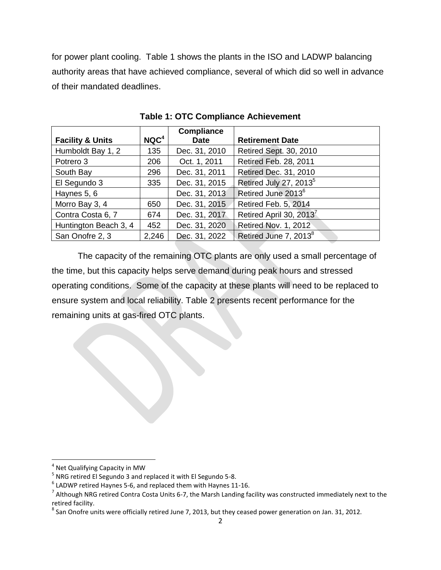for power plant cooling. Table 1 shows the plants in the ISO and LADWP balancing authority areas that have achieved compliance, several of which did so well in advance of their mandated deadlines.

|                             |                  | <b>Compliance</b> |                                     |
|-----------------------------|------------------|-------------------|-------------------------------------|
| <b>Facility &amp; Units</b> | NQC <sup>4</sup> | <b>Date</b>       | <b>Retirement Date</b>              |
| Humboldt Bay 1, 2           | 135              | Dec. 31, 2010     | Retired Sept. 30, 2010              |
| Potrero 3                   | 206              | Oct. 1, 2011      | Retired Feb. 28, 2011               |
| South Bay                   | 296              | Dec. 31, 2011     | Retired Dec. 31, 2010               |
| El Segundo 3                | 335              | Dec. 31, 2015     | Retired July 27, 2013 <sup>5</sup>  |
| Haynes 5, 6                 |                  | Dec. 31, 2013     | Retired June 2013 <sup>6</sup>      |
| Morro Bay 3, 4              | 650              | Dec. 31, 2015     | Retired Feb. 5, 2014                |
| Contra Costa 6, 7           | 674              | Dec. 31, 2017     | Retired April 30, 2013 <sup>7</sup> |
| Huntington Beach 3, 4       | 452              | Dec. 31, 2020     | <b>Retired Nov. 1, 2012</b>         |
| San Onofre 2, 3             | 2,246            | Dec. 31, 2022     | Retired June 7, 2013 <sup>8</sup>   |

**Table 1: OTC Compliance Achievement**

The capacity of the remaining OTC plants are only used a small percentage of the time, but this capacity helps serve demand during peak hours and stressed operating conditions. Some of the capacity at these plants will need to be replaced to ensure system and local reliability. Table 2 presents recent performance for the remaining units at gas-fired OTC plants.

l

<sup>&</sup>lt;sup>4</sup> Net Qualifying Capacity in MW

<sup>&</sup>lt;sup>5</sup> NRG retired El Segundo 3 and replaced it with El Segundo 5-8.

 $^6$  LADWP retired Haynes 5-6, and replaced them with Haynes 11-16.

 $^7$  Although NRG retired Contra Costa Units 6-7, the Marsh Landing facility was constructed immediately next to the retired facility.

 $^8$  San Onofre units were officially retired June 7, 2013, but they ceased power generation on Jan. 31, 2012.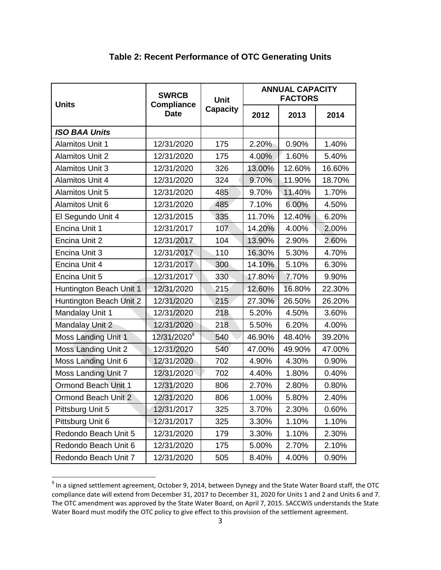| <b>Units</b>               | <b>SWRCB</b><br><b>Compliance</b> | Unit            | <b>ANNUAL CAPACITY</b><br><b>FACTORS</b> |        |        |
|----------------------------|-----------------------------------|-----------------|------------------------------------------|--------|--------|
|                            | <b>Date</b>                       | <b>Capacity</b> | 2012                                     | 2013   | 2014   |
| <b>ISO BAA Units</b>       |                                   |                 |                                          |        |        |
| <b>Alamitos Unit 1</b>     | 12/31/2020                        | 175             | 2.20%                                    | 0.90%  | 1.40%  |
| <b>Alamitos Unit 2</b>     | 12/31/2020                        | 175             | 4.00%                                    | 1.60%  | 5.40%  |
| <b>Alamitos Unit 3</b>     | 12/31/2020                        | 326             | 13.00%                                   | 12.60% | 16.60% |
| <b>Alamitos Unit 4</b>     | 12/31/2020                        | 324             | 9.70%                                    | 11.90% | 18.70% |
| <b>Alamitos Unit 5</b>     | 12/31/2020                        | 485             | 9.70%                                    | 11.40% | 1.70%  |
| <b>Alamitos Unit 6</b>     | 12/31/2020                        | 485             | 7.10%                                    | 6.00%  | 4.50%  |
| El Segundo Unit 4          | 12/31/2015                        | 335             | 11.70%                                   | 12.40% | 6.20%  |
| Encina Unit 1              | 12/31/2017                        | 107             | 14.20%                                   | 4.00%  | 2.00%  |
| Encina Unit 2              | 12/31/2017                        | 104             | 13.90%                                   | 2.90%  | 2.60%  |
| Encina Unit 3              | 12/31/2017                        | 110             | 16.30%                                   | 5.30%  | 4.70%  |
| Encina Unit 4              | 12/31/2017                        | 300             | 14.10%                                   | 5.10%  | 6.30%  |
| Encina Unit 5              | 12/31/2017                        | 330             | 17.80%                                   | 7.70%  | 9.90%  |
| Huntington Beach Unit 1    | 12/31/2020                        | 215             | 12.60%                                   | 16.80% | 22.30% |
| Huntington Beach Unit 2    | 12/31/2020                        | 215             | 27.30%                                   | 26.50% | 26.20% |
| Mandalay Unit 1            | 12/31/2020                        | 218             | 5.20%                                    | 4.50%  | 3.60%  |
| <b>Mandalay Unit 2</b>     | 12/31/2020                        | 218             | 5.50%                                    | 6.20%  | 4.00%  |
| Moss Landing Unit 1        | 12/31/2020 <sup>9</sup>           | 540             | 46.90%                                   | 48.40% | 39.20% |
| Moss Landing Unit 2        | 12/31/2020                        | 540             | 47.00%                                   | 49.90% | 47.00% |
| Moss Landing Unit 6        | 12/31/2020                        | 702             | 4.90%                                    | 4.30%  | 0.90%  |
| Moss Landing Unit 7        | 12/31/2020                        | 702             | 4.40%                                    | 1.80%  | 0.40%  |
| <b>Ormond Beach Unit 1</b> | 12/31/2020                        | 806             | 2.70%                                    | 2.80%  | 0.80%  |
| Ormond Beach Unit 2        | 12/31/2020                        | 806             | 1.00%                                    | 5.80%  | 2.40%  |
| Pittsburg Unit 5           | 12/31/2017                        | 325             | 3.70%                                    | 2.30%  | 0.60%  |
| Pittsburg Unit 6           | 12/31/2017                        | 325             | 3.30%                                    | 1.10%  | 1.10%  |
| Redondo Beach Unit 5       | 12/31/2020                        | 179             | 3.30%                                    | 1.10%  | 2.30%  |
| Redondo Beach Unit 6       | 12/31/2020                        | 175             | 5.00%                                    | 2.70%  | 2.10%  |
| Redondo Beach Unit 7       | 12/31/2020                        | 505             | 8.40%                                    | 4.00%  | 0.90%  |

# **Table 2: Recent Performance of OTC Generating Units**

genalism<br>In a signed settlement agreement, October 9, 2014, between Dynegy and the State Water Board staff, the OTC compliance date will extend from December 31, 2017 to December 31, 2020 for Units 1 and 2 and Units 6 and 7. The OTC amendment was approved by the State Water Board, on April 7, 2015. SACCWIS understands the State Water Board must modify the OTC policy to give effect to this provision of the settlement agreement.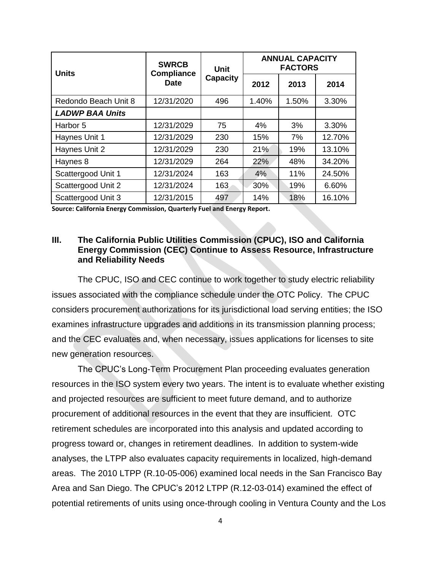|                        | <b>SWRCB</b><br><b>Units</b><br><b>Compliance</b><br><b>Date</b> | <b>Unit</b><br><b>Capacity</b> | <b>ANNUAL CAPACITY</b><br><b>FACTORS</b> |       |        |
|------------------------|------------------------------------------------------------------|--------------------------------|------------------------------------------|-------|--------|
|                        |                                                                  |                                | 2012                                     | 2013  | 2014   |
| Redondo Beach Unit 8   | 12/31/2020                                                       | 496                            | 1.40%                                    | 1.50% | 3.30%  |
| <b>LADWP BAA Units</b> |                                                                  |                                |                                          |       |        |
| Harbor 5               | 12/31/2029                                                       | 75                             | 4%                                       | 3%    | 3.30%  |
| Haynes Unit 1          | 12/31/2029                                                       | 230                            | 15%                                      | 7%    | 12.70% |
| Haynes Unit 2          | 12/31/2029                                                       | 230                            | 21%                                      | 19%   | 13.10% |
| Haynes 8               | 12/31/2029                                                       | 264                            | 22%                                      | 48%   | 34.20% |
| Scattergood Unit 1     | 12/31/2024                                                       | 163                            | 4%                                       | 11%   | 24.50% |
| Scattergood Unit 2     | 12/31/2024                                                       | 163                            | 30%                                      | 19%   | 6.60%  |
| Scattergood Unit 3     | 12/31/2015                                                       | 497                            | 14%                                      | 18%   | 16.10% |

**Source: California Energy Commission, Quarterly Fuel and Energy Report.**

## **III. The California Public Utilities Commission (CPUC), ISO and California Energy Commission (CEC) Continue to Assess Resource, Infrastructure and Reliability Needs**

The CPUC, ISO and CEC continue to work together to study electric reliability issues associated with the compliance schedule under the OTC Policy. The CPUC considers procurement authorizations for its jurisdictional load serving entities; the ISO examines infrastructure upgrades and additions in its transmission planning process; and the CEC evaluates and, when necessary, issues applications for licenses to site new generation resources.

The CPUC's Long-Term Procurement Plan proceeding evaluates generation resources in the ISO system every two years. The intent is to evaluate whether existing and projected resources are sufficient to meet future demand, and to authorize procurement of additional resources in the event that they are insufficient. OTC retirement schedules are incorporated into this analysis and updated according to progress toward or, changes in retirement deadlines. In addition to system-wide analyses, the LTPP also evaluates capacity requirements in localized, high-demand areas. The 2010 LTPP (R.10-05-006) examined local needs in the San Francisco Bay Area and San Diego. The CPUC's 2012 LTPP (R.12-03-014) examined the effect of potential retirements of units using once-through cooling in Ventura County and the Los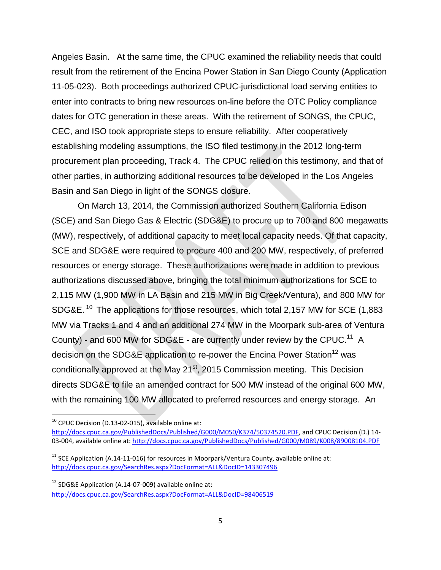Angeles Basin. At the same time, the CPUC examined the reliability needs that could result from the retirement of the Encina Power Station in San Diego County (Application 11-05-023). Both proceedings authorized CPUC-jurisdictional load serving entities to enter into contracts to bring new resources on-line before the OTC Policy compliance dates for OTC generation in these areas. With the retirement of SONGS, the CPUC, CEC, and ISO took appropriate steps to ensure reliability. After cooperatively establishing modeling assumptions, the ISO filed testimony in the 2012 long-term procurement plan proceeding, Track 4. The CPUC relied on this testimony, and that of other parties, in authorizing additional resources to be developed in the Los Angeles Basin and San Diego in light of the SONGS closure.

On March 13, 2014, the Commission authorized Southern California Edison (SCE) and San Diego Gas & Electric (SDG&E) to procure up to 700 and 800 megawatts (MW), respectively, of additional capacity to meet local capacity needs. Of that capacity, SCE and SDG&E were required to procure 400 and 200 MW, respectively, of preferred resources or energy storage. These authorizations were made in addition to previous authorizations discussed above, bringing the total minimum authorizations for SCE to 2,115 MW (1,900 MW in LA Basin and 215 MW in Big Creek/Ventura), and 800 MW for SDG&E. <sup>10</sup> The applications for those resources, which total 2,157 MW for SCE (1,883 MW via Tracks 1 and 4 and an additional 274 MW in the Moorpark sub-area of Ventura County) - and 600 MW for SDG&E - are currently under review by the CPUC.<sup>11</sup> A decision on the SDG&E application to re-power the Encina Power Station<sup>12</sup> was conditionally approved at the May 21<sup>st</sup>, 2015 Commission meeting. This Decision directs SDG&E to file an amended contract for 500 MW instead of the original 600 MW, with the remaining 100 MW allocated to preferred resources and energy storage. An

 $\overline{\phantom{a}}$ 

 $10$  CPUC Decision (D.13-02-015), available online at:

[http://docs.cpuc.ca.gov/PublishedDocs/Published/G000/M050/K374/50374520.PDF,](http://docs.cpuc.ca.gov/PublishedDocs/Published/G000/M050/K374/50374520.PDF) and CPUC Decision (D.) 14- 03-004, available online at:<http://docs.cpuc.ca.gov/PublishedDocs/Published/G000/M089/K008/89008104.PDF>

 $11$  SCE Application (A.14-11-016) for resources in Moorpark/Ventura County, available online at: <http://docs.cpuc.ca.gov/SearchRes.aspx?DocFormat=ALL&DocID=143307496>

 $12$  SDG&E Application (A.14-07-009) available online at: <http://docs.cpuc.ca.gov/SearchRes.aspx?DocFormat=ALL&DocID=98406519>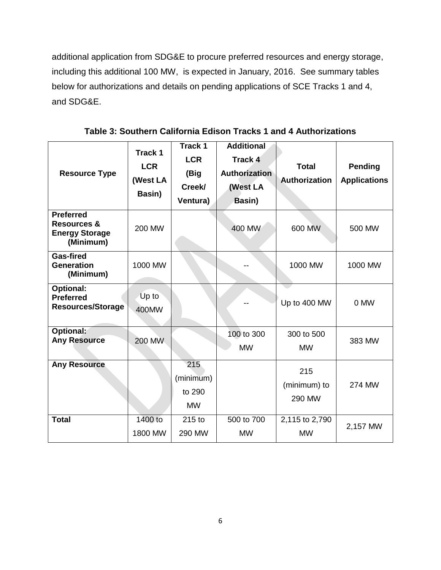additional application from SDG&E to procure preferred resources and energy storage, including this additional 100 MW, is expected in January, 2016. See summary tables below for authorizations and details on pending applications of SCE Tracks 1 and 4, and SDG&E.

| <b>Resource Type</b>                                                             | Track 1<br><b>LCR</b><br>(West LA<br>Basin) | Track 1<br><b>LCR</b><br>(Big<br>Creek/<br>Ventura) | <b>Additional</b><br>Track 4<br>Authorization<br>(West LA<br>Basin) | <b>Total</b><br>Authorization | <b>Pending</b><br><b>Applications</b> |
|----------------------------------------------------------------------------------|---------------------------------------------|-----------------------------------------------------|---------------------------------------------------------------------|-------------------------------|---------------------------------------|
| <b>Preferred</b><br><b>Resources &amp;</b><br><b>Energy Storage</b><br>(Minimum) | 200 MW                                      |                                                     | 400 MW                                                              | 600 MW                        | 500 MW                                |
| <b>Gas-fired</b><br><b>Generation</b><br>(Minimum)                               | 1000 MW                                     |                                                     |                                                                     | 1000 MW                       | 1000 MW                               |
| <b>Optional:</b><br><b>Preferred</b><br><b>Resources/Storage</b>                 | Up to<br>400MW                              |                                                     |                                                                     | Up to 400 MW                  | 0 MW                                  |
| Optional:<br><b>Any Resource</b>                                                 | <b>200 MW</b>                               |                                                     | 100 to 300<br><b>MW</b>                                             | 300 to 500<br><b>MW</b>       | 383 MW                                |
| <b>Any Resource</b>                                                              |                                             | 215<br>(minimum)<br>to 290<br><b>MW</b>             |                                                                     | 215<br>(minimum) to<br>290 MW | 274 MW                                |
| <b>Total</b>                                                                     | 1400 to<br>1800 MW                          | 215 to<br>290 MW                                    | 500 to 700<br><b>MW</b>                                             | 2,115 to 2,790<br><b>MW</b>   | 2,157 MW                              |

**Table 3: Southern California Edison Tracks 1 and 4 Authorizations**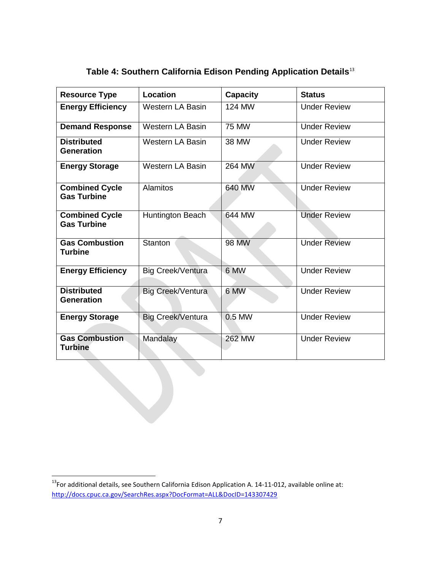| <b>Resource Type</b>                        | Location                 | <b>Capacity</b> | <b>Status</b>       |
|---------------------------------------------|--------------------------|-----------------|---------------------|
| <b>Energy Efficiency</b>                    | <b>Western LA Basin</b>  | 124 MW          | <b>Under Review</b> |
| <b>Demand Response</b>                      | <b>Western LA Basin</b>  | 75 MW           | <b>Under Review</b> |
| <b>Distributed</b><br><b>Generation</b>     | <b>Western LA Basin</b>  | 38 MW           | <b>Under Review</b> |
| <b>Energy Storage</b>                       | <b>Western LA Basin</b>  | 264 MW          | <b>Under Review</b> |
| <b>Combined Cycle</b><br><b>Gas Turbine</b> | <b>Alamitos</b>          | 640 MW          | <b>Under Review</b> |
| <b>Combined Cycle</b><br><b>Gas Turbine</b> | Huntington Beach         | 644 MW          | <b>Under Review</b> |
| <b>Gas Combustion</b><br><b>Turbine</b>     | Stanton                  | <b>98 MW</b>    | <b>Under Review</b> |
| <b>Energy Efficiency</b>                    | Big Creek/Ventura        | 6 MW            | <b>Under Review</b> |
| <b>Distributed</b><br><b>Generation</b>     | Big Creek/Ventura        | 6 MW            | <b>Under Review</b> |
| <b>Energy Storage</b>                       | <b>Big Creek/Ventura</b> | 0.5 MW          | <b>Under Review</b> |
| <b>Gas Combustion</b><br><b>Turbine</b>     | Mandalay                 | <b>262 MW</b>   | <b>Under Review</b> |

# **Table 4: Southern California Edison Pending Application Details**<sup>13</sup>

 $\overline{\phantom{a}}$ 

 $^{13}$ For additional details, see Southern California Edison Application A. 14-11-012, available online at: <http://docs.cpuc.ca.gov/SearchRes.aspx?DocFormat=ALL&DocID=143307429>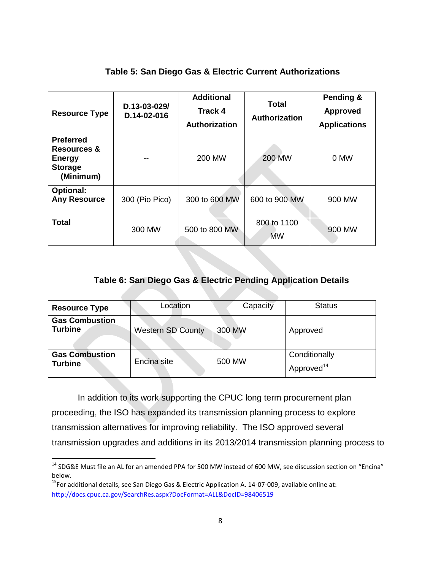# **Table 5: San Diego Gas & Electric Current Authorizations**

| <b>Resource Type</b>                                                                       | D.13-03-029/<br>D.14-02-016 | <b>Additional</b><br><b>Track 4</b><br><b>Authorization</b> | <b>Total</b><br><b>Authorization</b> | Pending &<br><b>Approved</b><br><b>Applications</b> |
|--------------------------------------------------------------------------------------------|-----------------------------|-------------------------------------------------------------|--------------------------------------|-----------------------------------------------------|
| <b>Preferred</b><br><b>Resources &amp;</b><br><b>Energy</b><br><b>Storage</b><br>(Minimum) |                             | <b>200 MW</b>                                               | <b>200 MW</b>                        | 0 MW                                                |
| <b>Optional:</b><br><b>Any Resource</b>                                                    | 300 (Pio Pico)              | 300 to 600 MW                                               | 600 to 900 MW                        | 900 MW                                              |
| <b>Total</b>                                                                               | 300 MW                      | 500 to 800 MW                                               | 800 to 1100<br><b>MW</b>             | 900 MW                                              |

# **Table 6: San Diego Gas & Electric Pending Application Details**

| <b>Resource Type</b>                    | Location                 | Capacity | <b>Status</b>                           |
|-----------------------------------------|--------------------------|----------|-----------------------------------------|
| <b>Gas Combustion</b><br><b>Turbine</b> | <b>Western SD County</b> | 300 MW   | Approved                                |
| <b>Gas Combustion</b><br><b>Turbine</b> | Encina site              | 500 MW   | Conditionally<br>Approved <sup>14</sup> |

In addition to its work supporting the CPUC long term procurement plan proceeding, the ISO has expanded its transmission planning process to explore transmission alternatives for improving reliability. The ISO approved several transmission upgrades and additions in its 2013/2014 transmission planning process to

 $\overline{\phantom{a}}$ 

<sup>&</sup>lt;sup>14</sup> SDG&E Must file an AL for an amended PPA for 500 MW instead of 600 MW, see discussion section on "Encina" below.

<sup>&</sup>lt;sup>15</sup>For additional details, see San Diego Gas & Electric Application A. 14-07-009, available online at: <http://docs.cpuc.ca.gov/SearchRes.aspx?DocFormat=ALL&DocID=98406519>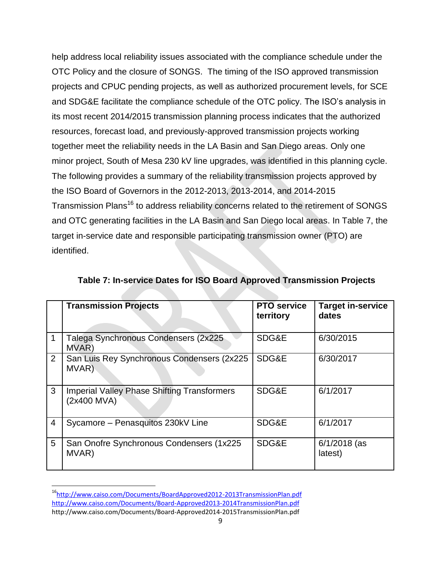help address local reliability issues associated with the compliance schedule under the OTC Policy and the closure of SONGS. The timing of the ISO approved transmission projects and CPUC pending projects, as well as authorized procurement levels, for SCE and SDG&E facilitate the compliance schedule of the OTC policy. The ISO's analysis in its most recent 2014/2015 transmission planning process indicates that the authorized resources, forecast load, and previously-approved transmission projects working together meet the reliability needs in the LA Basin and San Diego areas. Only one minor project, South of Mesa 230 kV line upgrades, was identified in this planning cycle. The following provides a summary of the reliability transmission projects approved by the ISO Board of Governors in the 2012-2013, 2013-2014, and 2014-2015 Transmission Plans<sup>16</sup> to address reliability concerns related to the retirement of SONGS and OTC generating facilities in the LA Basin and San Diego local areas. In Table 7, the target in-service date and responsible participating transmission owner (PTO) are identified.

|                | <b>Transmission Projects</b>                                      | <b>PTO</b> service<br>territory | <b>Target in-service</b><br>dates |
|----------------|-------------------------------------------------------------------|---------------------------------|-----------------------------------|
|                | Talega Synchronous Condensers (2x225)<br>MVAR)                    | SDG&E                           | 6/30/2015                         |
| $\overline{2}$ | San Luis Rey Synchronous Condensers (2x225)<br>MVAR)              | SDG&E                           | 6/30/2017                         |
| 3              | <b>Imperial Valley Phase Shifting Transformers</b><br>(2x400 MVA) | SDG&E                           | 6/1/2017                          |
| 4              | Sycamore - Penasquitos 230kV Line                                 | SDG&E                           | 6/1/2017                          |
| 5              | San Onofre Synchronous Condensers (1x225<br>MVAR)                 | SDG&E                           | 6/1/2018 (as<br>latest)           |

**Table 7: In-service Dates for ISO Board Approved Transmission Projects**

 $\overline{a}$ 

<sup>16</sup><http://www.caiso.com/Documents/BoardApproved2012-2013TransmissionPlan.pdf> <http://www.caiso.com/Documents/Board-Approved2013-2014TransmissionPlan.pdf> http://www.caiso.com/Documents/Board-Approved2014-2015TransmissionPlan.pdf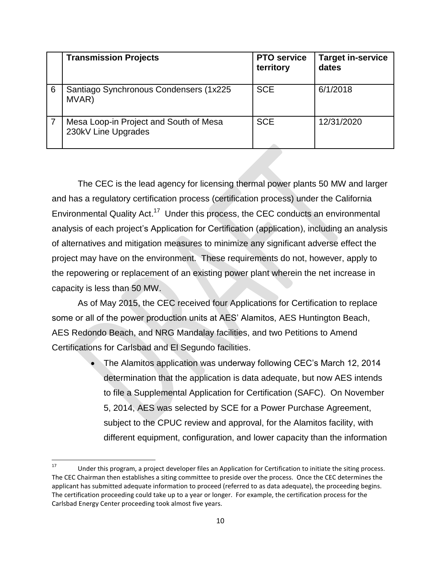|   | <b>Transmission Projects</b>                                  | <b>PTO service</b><br>territory | <b>Target in-service</b><br>dates |
|---|---------------------------------------------------------------|---------------------------------|-----------------------------------|
| 6 | Santiago Synchronous Condensers (1x225)<br>MVAR)              | <b>SCE</b>                      | 6/1/2018                          |
|   | Mesa Loop-in Project and South of Mesa<br>230kV Line Upgrades | <b>SCE</b>                      | 12/31/2020                        |

The CEC is the lead agency for licensing thermal power plants 50 MW and larger and has a regulatory certification process (certification process) under the California Environmental Quality Act.<sup>17</sup> Under this process, the CEC conducts an environmental analysis of each project's Application for Certification (application), including an analysis of alternatives and mitigation measures to minimize any significant adverse effect the project may have on the environment. These requirements do not, however, apply to the repowering or replacement of an existing power plant wherein the net increase in capacity is less than 50 MW.

As of May 2015, the CEC received four Applications for Certification to replace some or all of the power production units at AES' Alamitos, AES Huntington Beach, AES Redondo Beach, and NRG Mandalay facilities, and two Petitions to Amend Certifications for Carlsbad and El Segundo facilities.

> The Alamitos application was underway following CEC's March 12, 2014 determination that the application is data adequate, but now AES intends to file a Supplemental Application for Certification (SAFC). On November 5, 2014, AES was selected by SCE for a Power Purchase Agreement, subject to the CPUC review and approval, for the Alamitos facility, with different equipment, configuration, and lower capacity than the information

 $17\,$ Under this program, a project developer files an Application for Certification to initiate the siting process. The CEC Chairman then establishes a siting committee to preside over the process. Once the CEC determines the applicant has submitted adequate information to proceed (referred to as data adequate), the proceeding begins. The certification proceeding could take up to a year or longer. For example, the certification process for the Carlsbad Energy Center proceeding took almost five years.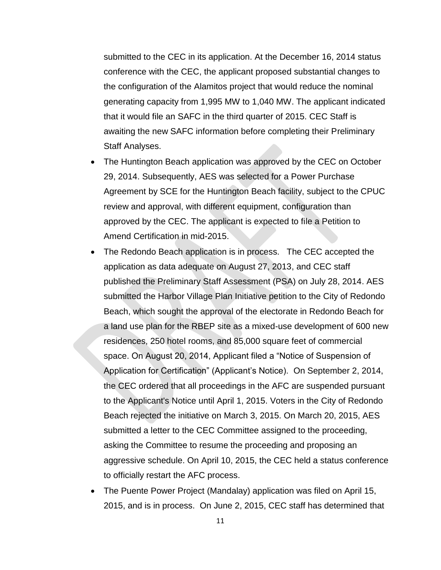submitted to the CEC in its application. At the December 16, 2014 status conference with the CEC, the applicant proposed substantial changes to the configuration of the Alamitos project that would reduce the nominal generating capacity from 1,995 MW to 1,040 MW. The applicant indicated that it would file an SAFC in the third quarter of 2015. CEC Staff is awaiting the new SAFC information before completing their Preliminary Staff Analyses.

- The Huntington Beach application was approved by the CEC on October 29, 2014. Subsequently, AES was selected for a Power Purchase Agreement by SCE for the Huntington Beach facility, subject to the CPUC review and approval, with different equipment, configuration than approved by the CEC. The applicant is expected to file a Petition to Amend Certification in mid-2015.
- The Redondo Beach application is in process. The CEC accepted the application as data adequate on August 27, 2013, and CEC staff published the Preliminary Staff Assessment (PSA) on July 28, 2014. AES submitted the Harbor Village Plan Initiative petition to the City of Redondo Beach, which sought the approval of the electorate in Redondo Beach for a land use plan for the RBEP site as a mixed-use development of 600 new residences, 250 hotel rooms, and 85,000 square feet of commercial space. On August 20, 2014, Applicant filed a "Notice of Suspension of Application for Certification" (Applicant's Notice). On September 2, 2014, the CEC ordered that all proceedings in the AFC are suspended pursuant to the Applicant's Notice until April 1, 2015. Voters in the City of Redondo Beach rejected the initiative on March 3, 2015. On March 20, 2015, AES submitted a letter to the CEC Committee assigned to the proceeding, asking the Committee to resume the proceeding and proposing an aggressive schedule. On April 10, 2015, the CEC held a status conference to officially restart the AFC process.
- The Puente Power Project (Mandalay) application was filed on April 15, 2015, and is in process. On June 2, 2015, CEC staff has determined that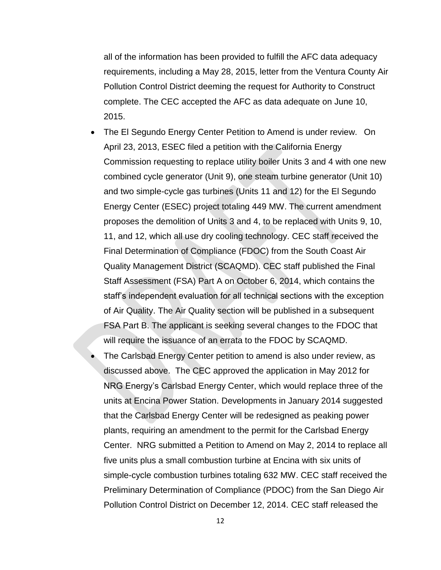all of the information has been provided to fulfill the AFC data adequacy requirements, including a May 28, 2015, letter from the Ventura County Air Pollution Control District deeming the request for Authority to Construct complete. The CEC accepted the AFC as data adequate on June 10, 2015.

- The El Segundo Energy Center Petition to Amend is under review. On April 23, 2013, ESEC filed a petition with the California Energy Commission requesting to replace utility boiler Units 3 and 4 with one new combined cycle generator (Unit 9), one steam turbine generator (Unit 10) and two simple-cycle gas turbines (Units 11 and 12) for the El Segundo Energy Center (ESEC) project totaling 449 MW. The current amendment proposes the demolition of Units 3 and 4, to be replaced with Units 9, 10, 11, and 12, which all use dry cooling technology. CEC staff received the Final Determination of Compliance (FDOC) from the South Coast Air Quality Management District (SCAQMD). CEC staff published the Final Staff Assessment (FSA) Part A on October 6, 2014, which contains the staff's independent evaluation for all technical sections with the exception of Air Quality. The Air Quality section will be published in a subsequent FSA Part B. The applicant is seeking several changes to the FDOC that will require the issuance of an errata to the FDOC by SCAQMD.
- The Carlsbad Energy Center petition to amend is also under review, as discussed above. The CEC approved the application in May 2012 for NRG Energy's Carlsbad Energy Center, which would replace three of the units at Encina Power Station. Developments in January 2014 suggested that the Carlsbad Energy Center will be redesigned as peaking power plants, requiring an amendment to the permit for the Carlsbad Energy Center. NRG submitted a Petition to Amend on May 2, 2014 to replace all five units plus a small combustion turbine at Encina with six units of simple-cycle combustion turbines totaling 632 MW. CEC staff received the Preliminary Determination of Compliance (PDOC) from the San Diego Air Pollution Control District on December 12, 2014. CEC staff released the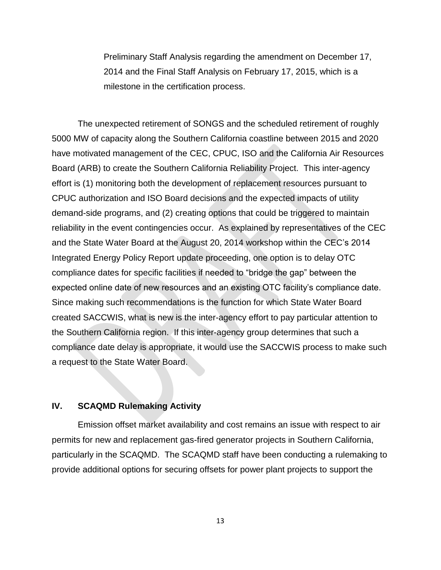Preliminary Staff Analysis regarding the amendment on December 17, 2014 and the Final Staff Analysis on February 17, 2015, which is a milestone in the certification process.

The unexpected retirement of SONGS and the scheduled retirement of roughly 5000 MW of capacity along the Southern California coastline between 2015 and 2020 have motivated management of the CEC, CPUC, ISO and the California Air Resources Board (ARB) to create the Southern California Reliability Project. This inter-agency effort is (1) monitoring both the development of replacement resources pursuant to CPUC authorization and ISO Board decisions and the expected impacts of utility demand-side programs, and (2) creating options that could be triggered to maintain reliability in the event contingencies occur. As explained by representatives of the CEC and the State Water Board at the August 20, 2014 workshop within the CEC's 2014 Integrated Energy Policy Report update proceeding, one option is to delay OTC compliance dates for specific facilities if needed to "bridge the gap" between the expected online date of new resources and an existing OTC facility's compliance date. Since making such recommendations is the function for which State Water Board created SACCWIS, what is new is the inter-agency effort to pay particular attention to the Southern California region. If this inter-agency group determines that such a compliance date delay is appropriate, it would use the SACCWIS process to make such a request to the State Water Board.

#### **IV. SCAQMD Rulemaking Activity**

Emission offset market availability and cost remains an issue with respect to air permits for new and replacement gas-fired generator projects in Southern California, particularly in the SCAQMD. The SCAQMD staff have been conducting a rulemaking to provide additional options for securing offsets for power plant projects to support the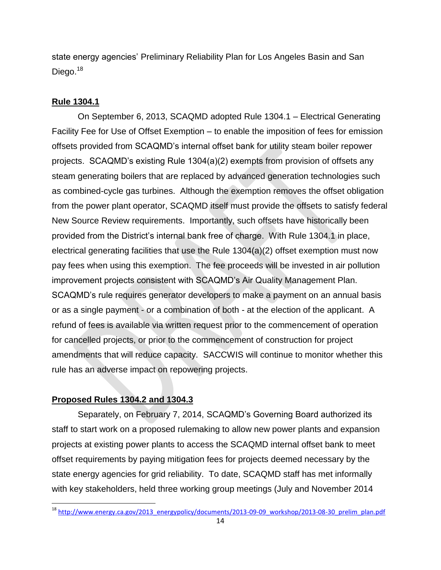state energy agencies' Preliminary Reliability Plan for Los Angeles Basin and San Diego.<sup>18</sup>

# **Rule 1304.1**

On September 6, 2013, SCAQMD adopted Rule 1304.1 – Electrical Generating Facility Fee for Use of Offset Exemption – to enable the imposition of fees for emission offsets provided from SCAQMD's internal offset bank for utility steam boiler repower projects. SCAQMD's existing Rule 1304(a)(2) exempts from provision of offsets any steam generating boilers that are replaced by advanced generation technologies such as combined-cycle gas turbines. Although the exemption removes the offset obligation from the power plant operator, SCAQMD itself must provide the offsets to satisfy federal New Source Review requirements. Importantly, such offsets have historically been provided from the District's internal bank free of charge. With Rule 1304.1 in place, electrical generating facilities that use the Rule 1304(a)(2) offset exemption must now pay fees when using this exemption. The fee proceeds will be invested in air pollution improvement projects consistent with SCAQMD's Air Quality Management Plan. SCAQMD's rule requires generator developers to make a payment on an annual basis or as a single payment - or a combination of both - at the election of the applicant. A refund of fees is available via written request prior to the commencement of operation for cancelled projects, or prior to the commencement of construction for project amendments that will reduce capacity. SACCWIS will continue to monitor whether this rule has an adverse impact on repowering projects.

# **Proposed Rules 1304.2 and 1304.3**

 $\overline{\phantom{a}}$ 

Separately, on February 7, 2014, SCAQMD's Governing Board authorized its staff to start work on a proposed rulemaking to allow new power plants and expansion projects at existing power plants to access the SCAQMD internal offset bank to meet offset requirements by paying mitigation fees for projects deemed necessary by the state energy agencies for grid reliability. To date, SCAQMD staff has met informally with key stakeholders, held three working group meetings (July and November 2014

<sup>&</sup>lt;sup>18</sup> [http://www.energy.ca.gov/2013\\_energypolicy/documents/2013-09-09\\_workshop/2013-08-30\\_prelim\\_plan.pdf](http://www.energy.ca.gov/2013_energypolicy/documents/2013-09-09_workshop/2013-08-30_prelim_plan.pdf)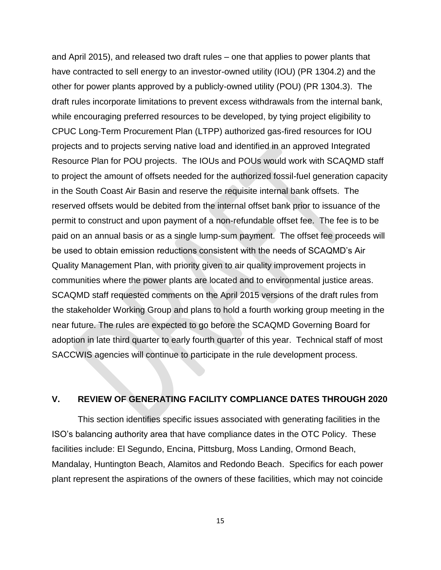and April 2015), and released two draft rules – one that applies to power plants that have contracted to sell energy to an investor-owned utility (IOU) (PR 1304.2) and the other for power plants approved by a publicly-owned utility (POU) (PR 1304.3). The draft rules incorporate limitations to prevent excess withdrawals from the internal bank, while encouraging preferred resources to be developed, by tying project eligibility to CPUC Long-Term Procurement Plan (LTPP) authorized gas-fired resources for IOU projects and to projects serving native load and identified in an approved Integrated Resource Plan for POU projects. The IOUs and POUs would work with SCAQMD staff to project the amount of offsets needed for the authorized fossil-fuel generation capacity in the South Coast Air Basin and reserve the requisite internal bank offsets. The reserved offsets would be debited from the internal offset bank prior to issuance of the permit to construct and upon payment of a non-refundable offset fee. The fee is to be paid on an annual basis or as a single lump-sum payment. The offset fee proceeds will be used to obtain emission reductions consistent with the needs of SCAQMD's Air Quality Management Plan, with priority given to air quality improvement projects in communities where the power plants are located and to environmental justice areas. SCAQMD staff requested comments on the April 2015 versions of the draft rules from the stakeholder Working Group and plans to hold a fourth working group meeting in the near future. The rules are expected to go before the SCAQMD Governing Board for adoption in late third quarter to early fourth quarter of this year. Technical staff of most SACCWIS agencies will continue to participate in the rule development process.

#### **V. REVIEW OF GENERATING FACILITY COMPLIANCE DATES THROUGH 2020**

This section identifies specific issues associated with generating facilities in the ISO's balancing authority area that have compliance dates in the OTC Policy. These facilities include: El Segundo, Encina, Pittsburg, Moss Landing, Ormond Beach, Mandalay, Huntington Beach, Alamitos and Redondo Beach. Specifics for each power plant represent the aspirations of the owners of these facilities, which may not coincide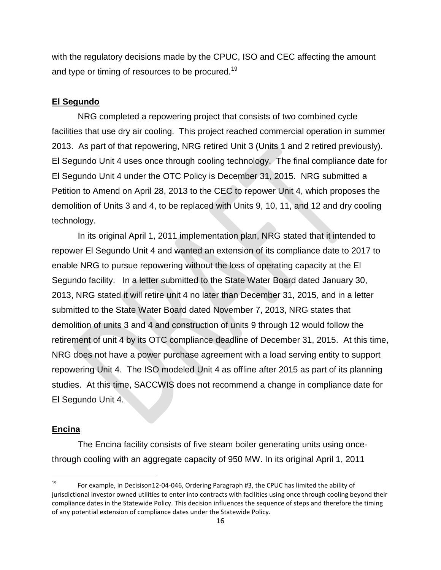with the regulatory decisions made by the CPUC, ISO and CEC affecting the amount and type or timing of resources to be procured.<sup>19</sup>

### **El Segundo**

NRG completed a repowering project that consists of two combined cycle facilities that use dry air cooling. This project reached commercial operation in summer 2013. As part of that repowering, NRG retired Unit 3 (Units 1 and 2 retired previously). El Segundo Unit 4 uses once through cooling technology. The final compliance date for El Segundo Unit 4 under the OTC Policy is December 31, 2015. NRG submitted a Petition to Amend on April 28, 2013 to the CEC to repower Unit 4, which proposes the demolition of Units 3 and 4, to be replaced with Units 9, 10, 11, and 12 and dry cooling technology.

In its original April 1, 2011 implementation plan, NRG stated that it intended to repower El Segundo Unit 4 and wanted an extension of its compliance date to 2017 to enable NRG to pursue repowering without the loss of operating capacity at the El Segundo facility. In a letter submitted to the State Water Board dated January 30, 2013, NRG stated it will retire unit 4 no later than December 31, 2015, and in a letter submitted to the State Water Board dated November 7, 2013, NRG states that demolition of units 3 and 4 and construction of units 9 through 12 would follow the retirement of unit 4 by its OTC compliance deadline of December 31, 2015. At this time, NRG does not have a power purchase agreement with a load serving entity to support repowering Unit 4. The ISO modeled Unit 4 as offline after 2015 as part of its planning studies. At this time, SACCWIS does not recommend a change in compliance date for El Segundo Unit 4.

#### **Encina**

l

The Encina facility consists of five steam boiler generating units using oncethrough cooling with an aggregate capacity of 950 MW. In its original April 1, 2011

For example, in Decisison12-04-046, Ordering Paragraph #3, the CPUC has limited the ability of jurisdictional investor owned utilities to enter into contracts with facilities using once through cooling beyond their compliance dates in the Statewide Policy. This decision influences the sequence of steps and therefore the timing of any potential extension of compliance dates under the Statewide Policy.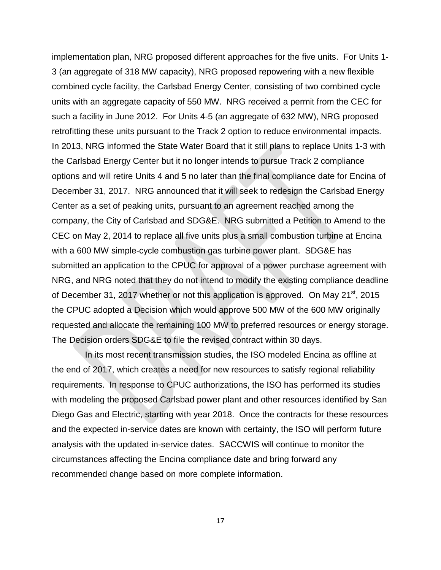implementation plan, NRG proposed different approaches for the five units. For Units 1- 3 (an aggregate of 318 MW capacity), NRG proposed repowering with a new flexible combined cycle facility, the Carlsbad Energy Center, consisting of two combined cycle units with an aggregate capacity of 550 MW. NRG received a permit from the CEC for such a facility in June 2012. For Units 4-5 (an aggregate of 632 MW), NRG proposed retrofitting these units pursuant to the Track 2 option to reduce environmental impacts. In 2013, NRG informed the State Water Board that it still plans to replace Units 1-3 with the Carlsbad Energy Center but it no longer intends to pursue Track 2 compliance options and will retire Units 4 and 5 no later than the final compliance date for Encina of December 31, 2017. NRG announced that it will seek to redesign the Carlsbad Energy Center as a set of peaking units, pursuant to an agreement reached among the company, the City of Carlsbad and SDG&E. NRG submitted a Petition to Amend to the CEC on May 2, 2014 to replace all five units plus a small combustion turbine at Encina with a 600 MW simple-cycle combustion gas turbine power plant. SDG&E has submitted an application to the CPUC for approval of a power purchase agreement with NRG, and NRG noted that they do not intend to modify the existing compliance deadline of December 31, 2017 whether or not this application is approved. On May 21<sup>st</sup>, 2015 the CPUC adopted a Decision which would approve 500 MW of the 600 MW originally requested and allocate the remaining 100 MW to preferred resources or energy storage. The Decision orders SDG&E to file the revised contract within 30 days.

 In its most recent transmission studies, the ISO modeled Encina as offline at the end of 2017, which creates a need for new resources to satisfy regional reliability requirements. In response to CPUC authorizations, the ISO has performed its studies with modeling the proposed Carlsbad power plant and other resources identified by San Diego Gas and Electric, starting with year 2018. Once the contracts for these resources and the expected in-service dates are known with certainty, the ISO will perform future analysis with the updated in-service dates. SACCWIS will continue to monitor the circumstances affecting the Encina compliance date and bring forward any recommended change based on more complete information.

17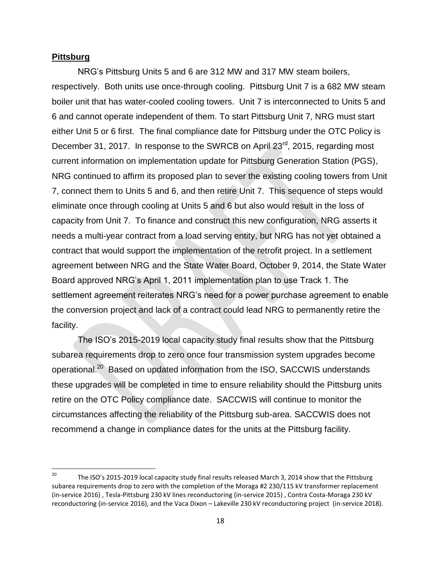#### **Pittsburg**

NRG's Pittsburg Units 5 and 6 are 312 MW and 317 MW steam boilers, respectively. Both units use once-through cooling. Pittsburg Unit 7 is a 682 MW steam boiler unit that has water-cooled cooling towers. Unit 7 is interconnected to Units 5 and 6 and cannot operate independent of them. To start Pittsburg Unit 7, NRG must start either Unit 5 or 6 first. The final compliance date for Pittsburg under the OTC Policy is December 31, 2017. In response to the SWRCB on April 23<sup>rd</sup>, 2015, regarding most current information on implementation update for Pittsburg Generation Station (PGS), NRG continued to affirm its proposed plan to sever the existing cooling towers from Unit 7, connect them to Units 5 and 6, and then retire Unit 7. This sequence of steps would eliminate once through cooling at Units 5 and 6 but also would result in the loss of capacity from Unit 7. To finance and construct this new configuration, NRG asserts it needs a multi-year contract from a load serving entity, but NRG has not yet obtained a contract that would support the implementation of the retrofit project. In a settlement agreement between NRG and the State Water Board, October 9, 2014, the State Water Board approved NRG's April 1, 2011 implementation plan to use Track 1. The settlement agreement reiterates NRG's need for a power purchase agreement to enable the conversion project and lack of a contract could lead NRG to permanently retire the facility.

The ISO's 2015-2019 local capacity study final results show that the Pittsburg subarea requirements drop to zero once four transmission system upgrades become operational.<sup>20</sup> Based on updated information from the ISO, SACCWIS understands these upgrades will be completed in time to ensure reliability should the Pittsburg units retire on the OTC Policy compliance date. SACCWIS will continue to monitor the circumstances affecting the reliability of the Pittsburg sub-area. SACCWIS does not recommend a change in compliance dates for the units at the Pittsburg facility.

 $20\,$ <sup>20</sup> The ISO's 2015-2019 local capacity study final results released March 3, 2014 show that the Pittsburg subarea requirements drop to zero with the completion of the Moraga #2 230/115 kV transformer replacement (in-service 2016) , Tesla-Pittsburg 230 kV lines reconductoring (in-service 2015) , Contra Costa-Moraga 230 kV reconductoring (in-service 2016), and the Vaca Dixon – Lakeville 230 kV reconductoring project (in-service 2018).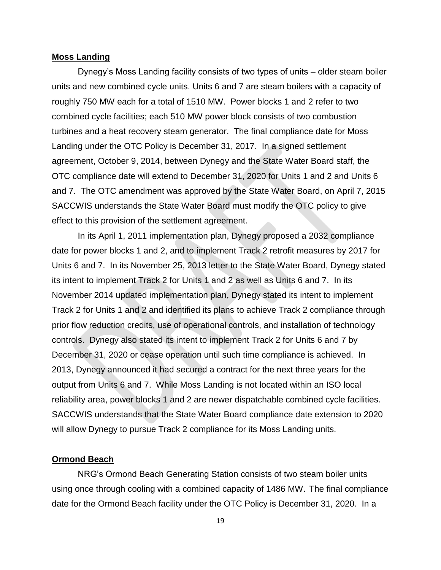#### **Moss Landing**

Dynegy's Moss Landing facility consists of two types of units – older steam boiler units and new combined cycle units. Units 6 and 7 are steam boilers with a capacity of roughly 750 MW each for a total of 1510 MW. Power blocks 1 and 2 refer to two combined cycle facilities; each 510 MW power block consists of two combustion turbines and a heat recovery steam generator. The final compliance date for Moss Landing under the OTC Policy is December 31, 2017. In a signed settlement agreement, October 9, 2014, between Dynegy and the State Water Board staff, the OTC compliance date will extend to December 31, 2020 for Units 1 and 2 and Units 6 and 7. The OTC amendment was approved by the State Water Board, on April 7, 2015 SACCWIS understands the State Water Board must modify the OTC policy to give effect to this provision of the settlement agreement.

In its April 1, 2011 implementation plan, Dynegy proposed a 2032 compliance date for power blocks 1 and 2, and to implement Track 2 retrofit measures by 2017 for Units 6 and 7. In its November 25, 2013 letter to the State Water Board, Dynegy stated its intent to implement Track 2 for Units 1 and 2 as well as Units 6 and 7. In its November 2014 updated implementation plan, Dynegy stated its intent to implement Track 2 for Units 1 and 2 and identified its plans to achieve Track 2 compliance through prior flow reduction credits, use of operational controls, and installation of technology controls. Dynegy also stated its intent to implement Track 2 for Units 6 and 7 by December 31, 2020 or cease operation until such time compliance is achieved. In 2013, Dynegy announced it had secured a contract for the next three years for the output from Units 6 and 7. While Moss Landing is not located within an ISO local reliability area, power blocks 1 and 2 are newer dispatchable combined cycle facilities. SACCWIS understands that the State Water Board compliance date extension to 2020 will allow Dynegy to pursue Track 2 compliance for its Moss Landing units.

#### **Ormond Beach**

NRG's Ormond Beach Generating Station consists of two steam boiler units using once through cooling with a combined capacity of 1486 MW. The final compliance date for the Ormond Beach facility under the OTC Policy is December 31, 2020. In a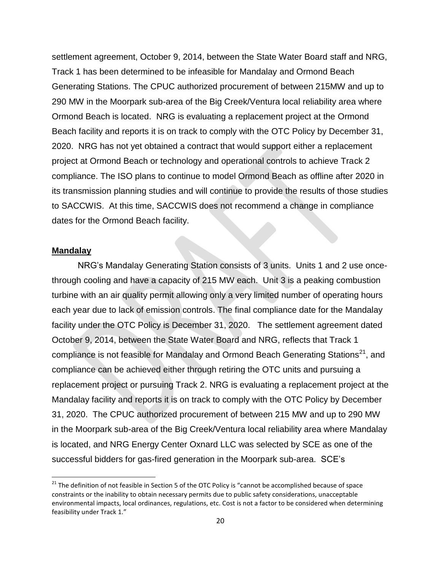settlement agreement, October 9, 2014, between the State Water Board staff and NRG, Track 1 has been determined to be infeasible for Mandalay and Ormond Beach Generating Stations. The CPUC authorized procurement of between 215MW and up to 290 MW in the Moorpark sub-area of the Big Creek/Ventura local reliability area where Ormond Beach is located. NRG is evaluating a replacement project at the Ormond Beach facility and reports it is on track to comply with the OTC Policy by December 31, 2020. NRG has not yet obtained a contract that would support either a replacement project at Ormond Beach or technology and operational controls to achieve Track 2 compliance. The ISO plans to continue to model Ormond Beach as offline after 2020 in its transmission planning studies and will continue to provide the results of those studies to SACCWIS. At this time, SACCWIS does not recommend a change in compliance dates for the Ormond Beach facility.

#### **Mandalay**

l

NRG's Mandalay Generating Station consists of 3 units. Units 1 and 2 use oncethrough cooling and have a capacity of 215 MW each. Unit 3 is a peaking combustion turbine with an air quality permit allowing only a very limited number of operating hours each year due to lack of emission controls. The final compliance date for the Mandalay facility under the OTC Policy is December 31, 2020. The settlement agreement dated October 9, 2014, between the State Water Board and NRG, reflects that Track 1 compliance is not feasible for Mandalay and Ormond Beach Generating Stations<sup>21</sup>, and compliance can be achieved either through retiring the OTC units and pursuing a replacement project or pursuing Track 2. NRG is evaluating a replacement project at the Mandalay facility and reports it is on track to comply with the OTC Policy by December 31, 2020. The CPUC authorized procurement of between 215 MW and up to 290 MW in the Moorpark sub-area of the Big Creek/Ventura local reliability area where Mandalay is located, and NRG Energy Center Oxnard LLC was selected by SCE as one of the successful bidders for gas-fired generation in the Moorpark sub-area. SCE's

<sup>&</sup>lt;sup>21</sup> The definition of not feasible in Section 5 of the OTC Policy is "cannot be accomplished because of space constraints or the inability to obtain necessary permits due to public safety considerations, unacceptable environmental impacts, local ordinances, regulations, etc. Cost is not a factor to be considered when determining feasibility under Track 1."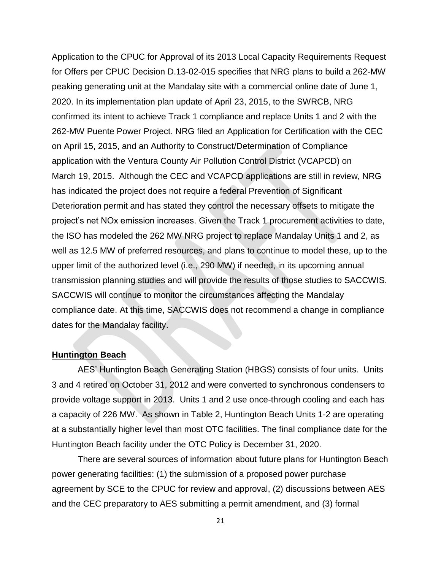Application to the CPUC for Approval of its 2013 Local Capacity Requirements Request for Offers per CPUC Decision D.13-02-015 specifies that NRG plans to build a 262-MW peaking generating unit at the Mandalay site with a commercial online date of June 1, 2020. In its implementation plan update of April 23, 2015, to the SWRCB, NRG confirmed its intent to achieve Track 1 compliance and replace Units 1 and 2 with the 262-MW Puente Power Project. NRG filed an Application for Certification with the CEC on April 15, 2015, and an Authority to Construct/Determination of Compliance application with the Ventura County Air Pollution Control District (VCAPCD) on March 19, 2015. Although the CEC and VCAPCD applications are still in review, NRG has indicated the project does not require a federal Prevention of Significant Deterioration permit and has stated they control the necessary offsets to mitigate the project's net NOx emission increases. Given the Track 1 procurement activities to date, the ISO has modeled the 262 MW NRG project to replace Mandalay Units 1 and 2, as well as 12.5 MW of preferred resources, and plans to continue to model these, up to the upper limit of the authorized level (i.e., 290 MW) if needed, in its upcoming annual transmission planning studies and will provide the results of those studies to SACCWIS. SACCWIS will continue to monitor the circumstances affecting the Mandalay compliance date. At this time, SACCWIS does not recommend a change in compliance dates for the Mandalay facility.

#### **Huntington Beach**

AES' Huntington Beach Generating Station (HBGS) consists of four units. Units 3 and 4 retired on October 31, 2012 and were converted to synchronous condensers to provide voltage support in 2013. Units 1 and 2 use once-through cooling and each has a capacity of 226 MW. As shown in Table 2, Huntington Beach Units 1-2 are operating at a substantially higher level than most OTC facilities. The final compliance date for the Huntington Beach facility under the OTC Policy is December 31, 2020.

There are several sources of information about future plans for Huntington Beach power generating facilities: (1) the submission of a proposed power purchase agreement by SCE to the CPUC for review and approval, (2) discussions between AES and the CEC preparatory to AES submitting a permit amendment, and (3) formal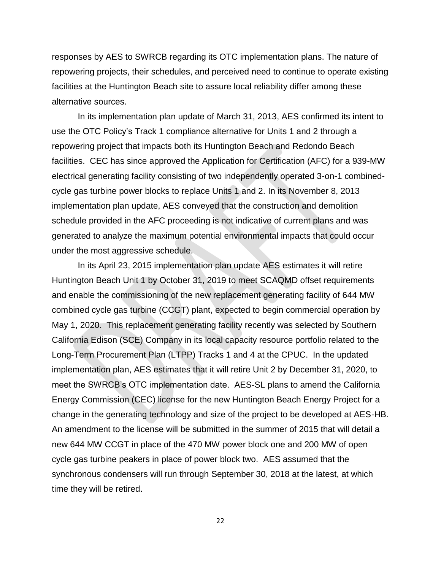responses by AES to SWRCB regarding its OTC implementation plans. The nature of repowering projects, their schedules, and perceived need to continue to operate existing facilities at the Huntington Beach site to assure local reliability differ among these alternative sources.

In its implementation plan update of March 31, 2013, AES confirmed its intent to use the OTC Policy's Track 1 compliance alternative for Units 1 and 2 through a repowering project that impacts both its Huntington Beach and Redondo Beach facilities. CEC has since approved the Application for Certification (AFC) for a 939-MW electrical generating facility consisting of two independently operated 3-on-1 combinedcycle gas turbine power blocks to replace Units 1 and 2. In its November 8, 2013 implementation plan update, AES conveyed that the construction and demolition schedule provided in the AFC proceeding is not indicative of current plans and was generated to analyze the maximum potential environmental impacts that could occur under the most aggressive schedule.

In its April 23, 2015 implementation plan update AES estimates it will retire Huntington Beach Unit 1 by October 31, 2019 to meet SCAQMD offset requirements and enable the commissioning of the new replacement generating facility of 644 MW combined cycle gas turbine (CCGT) plant, expected to begin commercial operation by May 1, 2020. This replacement generating facility recently was selected by Southern California Edison (SCE) Company in its local capacity resource portfolio related to the Long-Term Procurement Plan (LTPP) Tracks 1 and 4 at the CPUC. In the updated implementation plan, AES estimates that it will retire Unit 2 by December 31, 2020, to meet the SWRCB's OTC implementation date. AES-SL plans to amend the California Energy Commission (CEC) license for the new Huntington Beach Energy Project for a change in the generating technology and size of the project to be developed at AES-HB. An amendment to the license will be submitted in the summer of 2015 that will detail a new 644 MW CCGT in place of the 470 MW power block one and 200 MW of open cycle gas turbine peakers in place of power block two. AES assumed that the synchronous condensers will run through September 30, 2018 at the latest, at which time they will be retired.

22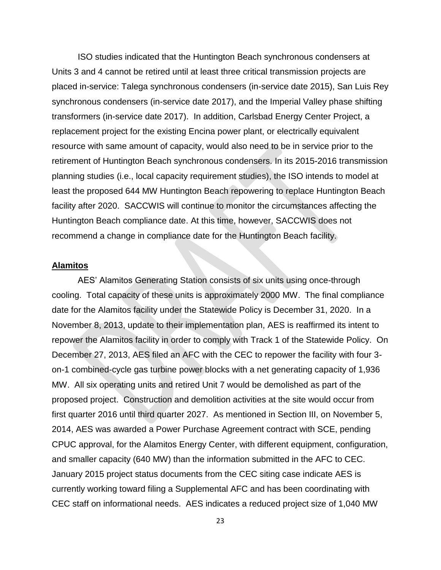ISO studies indicated that the Huntington Beach synchronous condensers at Units 3 and 4 cannot be retired until at least three critical transmission projects are placed in-service: Talega synchronous condensers (in-service date 2015), San Luis Rey synchronous condensers (in-service date 2017), and the Imperial Valley phase shifting transformers (in-service date 2017). In addition, Carlsbad Energy Center Project, a replacement project for the existing Encina power plant, or electrically equivalent resource with same amount of capacity, would also need to be in service prior to the retirement of Huntington Beach synchronous condensers. In its 2015-2016 transmission planning studies (i.e., local capacity requirement studies), the ISO intends to model at least the proposed 644 MW Huntington Beach repowering to replace Huntington Beach facility after 2020. SACCWIS will continue to monitor the circumstances affecting the Huntington Beach compliance date. At this time, however, SACCWIS does not recommend a change in compliance date for the Huntington Beach facility.

### **Alamitos**

AES' Alamitos Generating Station consists of six units using once-through cooling. Total capacity of these units is approximately 2000 MW. The final compliance date for the Alamitos facility under the Statewide Policy is December 31, 2020. In a November 8, 2013, update to their implementation plan, AES is reaffirmed its intent to repower the Alamitos facility in order to comply with Track 1 of the Statewide Policy. On December 27, 2013, AES filed an AFC with the CEC to repower the facility with four 3 on-1 combined-cycle gas turbine power blocks with a net generating capacity of 1,936 MW. All six operating units and retired Unit 7 would be demolished as part of the proposed project. Construction and demolition activities at the site would occur from first quarter 2016 until third quarter 2027. As mentioned in Section III, on November 5, 2014, AES was awarded a Power Purchase Agreement contract with SCE, pending CPUC approval, for the Alamitos Energy Center, with different equipment, configuration, and smaller capacity (640 MW) than the information submitted in the AFC to CEC. January 2015 project status documents from the CEC siting case indicate AES is currently working toward filing a Supplemental AFC and has been coordinating with CEC staff on informational needs. AES indicates a reduced project size of 1,040 MW

23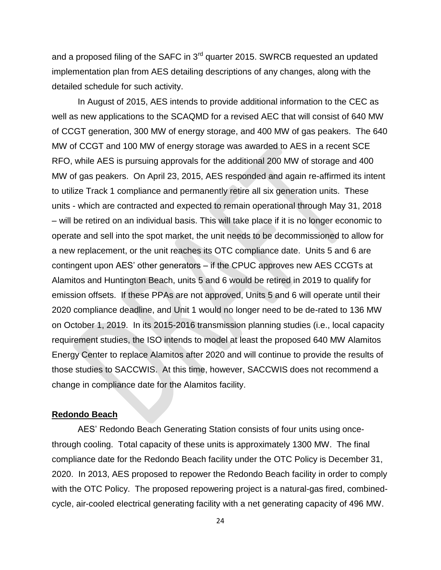and a proposed filing of the SAFC in 3<sup>rd</sup> quarter 2015. SWRCB requested an updated implementation plan from AES detailing descriptions of any changes, along with the detailed schedule for such activity.

In August of 2015, AES intends to provide additional information to the CEC as well as new applications to the SCAQMD for a revised AEC that will consist of 640 MW of CCGT generation, 300 MW of energy storage, and 400 MW of gas peakers. The 640 MW of CCGT and 100 MW of energy storage was awarded to AES in a recent SCE RFO, while AES is pursuing approvals for the additional 200 MW of storage and 400 MW of gas peakers. On April 23, 2015, AES responded and again re-affirmed its intent to utilize Track 1 compliance and permanently retire all six generation units. These units - which are contracted and expected to remain operational through May 31, 2018 – will be retired on an individual basis. This will take place if it is no longer economic to operate and sell into the spot market, the unit needs to be decommissioned to allow for a new replacement, or the unit reaches its OTC compliance date. Units 5 and 6 are contingent upon AES' other generators – if the CPUC approves new AES CCGTs at Alamitos and Huntington Beach, units 5 and 6 would be retired in 2019 to qualify for emission offsets. If these PPAs are not approved, Units 5 and 6 will operate until their 2020 compliance deadline, and Unit 1 would no longer need to be de-rated to 136 MW on October 1, 2019. In its 2015-2016 transmission planning studies (i.e., local capacity requirement studies, the ISO intends to model at least the proposed 640 MW Alamitos Energy Center to replace Alamitos after 2020 and will continue to provide the results of those studies to SACCWIS. At this time, however, SACCWIS does not recommend a change in compliance date for the Alamitos facility.

#### **Redondo Beach**

AES' Redondo Beach Generating Station consists of four units using oncethrough cooling. Total capacity of these units is approximately 1300 MW. The final compliance date for the Redondo Beach facility under the OTC Policy is December 31, 2020. In 2013, AES proposed to repower the Redondo Beach facility in order to comply with the OTC Policy. The proposed repowering project is a natural-gas fired, combinedcycle, air-cooled electrical generating facility with a net generating capacity of 496 MW.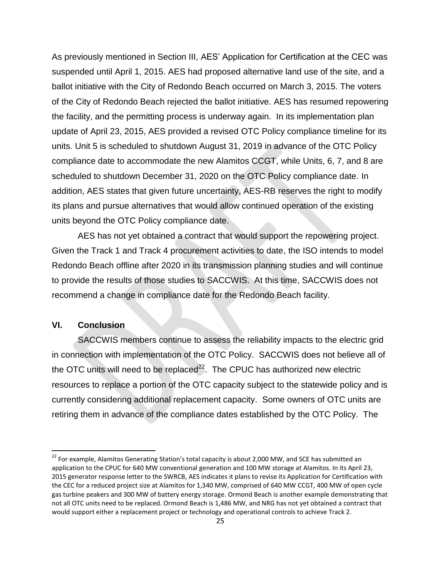As previously mentioned in Section III, AES' Application for Certification at the CEC was suspended until April 1, 2015. AES had proposed alternative land use of the site, and a ballot initiative with the City of Redondo Beach occurred on March 3, 2015. The voters of the City of Redondo Beach rejected the ballot initiative. AES has resumed repowering the facility, and the permitting process is underway again. In its implementation plan update of April 23, 2015, AES provided a revised OTC Policy compliance timeline for its units. Unit 5 is scheduled to shutdown August 31, 2019 in advance of the OTC Policy compliance date to accommodate the new Alamitos CCGT, while Units, 6, 7, and 8 are scheduled to shutdown December 31, 2020 on the OTC Policy compliance date. In addition, AES states that given future uncertainty, AES-RB reserves the right to modify its plans and pursue alternatives that would allow continued operation of the existing units beyond the OTC Policy compliance date.

AES has not yet obtained a contract that would support the repowering project. Given the Track 1 and Track 4 procurement activities to date, the ISO intends to model Redondo Beach offline after 2020 in its transmission planning studies and will continue to provide the results of those studies to SACCWIS. At this time, SACCWIS does not recommend a change in compliance date for the Redondo Beach facility.

# **VI. Conclusion**

 $\overline{\phantom{a}}$ 

SACCWIS members continue to assess the reliability impacts to the electric grid in connection with implementation of the OTC Policy. SACCWIS does not believe all of the OTC units will need to be replaced $^{22}$ . The CPUC has authorized new electric resources to replace a portion of the OTC capacity subject to the statewide policy and is currently considering additional replacement capacity. Some owners of OTC units are retiring them in advance of the compliance dates established by the OTC Policy. The

<sup>&</sup>lt;sup>22</sup> For example, Alamitos Generating Station's total capacity is about 2,000 MW, and SCE has submitted an application to the CPUC for 640 MW conventional generation and 100 MW storage at Alamitos. In its April 23, 2015 generator response letter to the SWRCB, AES indicates it plans to revise its Application for Certification with the CEC for a reduced project size at Alamitos for 1,340 MW, comprised of 640 MW CCGT, 400 MW of open cycle gas turbine peakers and 300 MW of battery energy storage. Ormond Beach is another example demonstrating that not all OTC units need to be replaced. Ormond Beach is 1,486 MW, and NRG has not yet obtained a contract that would support either a replacement project or technology and operational controls to achieve Track 2.